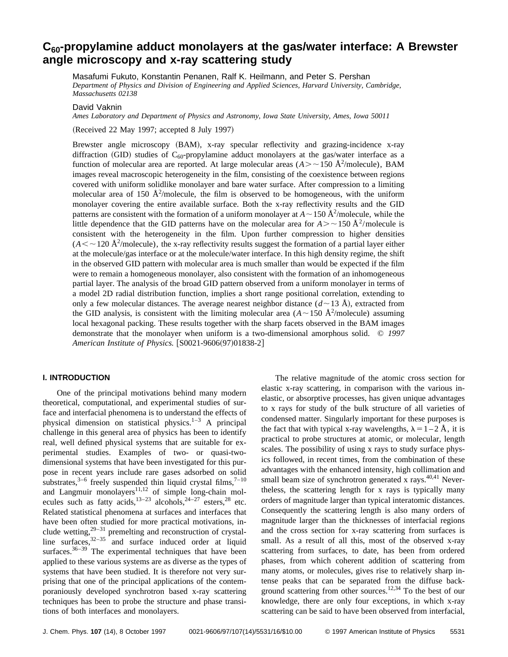# C<sub>60</sub>-propylamine adduct monolayers at the gas/water interface: A Brewster **angle microscopy and x-ray scattering study**

Masafumi Fukuto, Konstantin Penanen, Ralf K. Heilmann, and Peter S. Pershan *Department of Physics and Division of Engineering and Applied Sciences, Harvard University, Cambridge, Massachusetts 02138*

David Vaknin

*Ames Laboratory and Department of Physics and Astronomy, Iowa State University, Ames, Iowa 50011*

(Received 22 May 1997; accepted 8 July 1997)

Brewster angle microscopy (BAM), x-ray specular reflectivity and grazing-incidence x-ray diffraction (GID) studies of  $C_{60}$ -propylamine adduct monolayers at the gas/water interface as a function of molecular area are reported. At large molecular areas  $(A \geq 150 \text{ Å}^2/\text{molecule})$ , BAM images reveal macroscopic heterogeneity in the film, consisting of the coexistence between regions covered with uniform solidlike monolayer and bare water surface. After compression to a limiting molecular area of 150  $\AA^2$ /molecule, the film is observed to be homogeneous, with the uniform monolayer covering the entire available surface. Both the x-ray reflectivity results and the GID patterns are consistent with the formation of a uniform monolayer at  $A \sim 150 \text{ Å}^2/\text{molecule}$ , while the little dependence that the GID patterns have on the molecular area for  $A > \sim 150 \text{ Å}^2/\text{molecule}$  is consistent with the heterogeneity in the film. Upon further compression to higher densities  $(A \leq \sim 120 \text{ Å}^2/\text{molecule})$ , the x-ray reflectivity results suggest the formation of a partial layer either at the molecule/gas interface or at the molecule/water interface. In this high density regime, the shift in the observed GID pattern with molecular area is much smaller than would be expected if the film were to remain a homogeneous monolayer, also consistent with the formation of an inhomogeneous partial layer. The analysis of the broad GID pattern observed from a uniform monolayer in terms of a model 2D radial distribution function, implies a short range positional correlation, extending to only a few molecular distances. The average nearest neighbor distance  $(d \sim 13 \text{ Å})$ , extracted from the GID analysis, is consistent with the limiting molecular area  $(A \sim 150 \text{ Å}^2/\text{molecule})$  assuming local hexagonal packing. These results together with the sharp facets observed in the BAM images demonstrate that the monolayer when uniform is a two-dimensional amorphous solid. © *1997 American Institute of Physics.* [S0021-9606(97)01838-2]

# **I. INTRODUCTION**

One of the principal motivations behind many modern theoretical, computational, and experimental studies of surface and interfacial phenomena is to understand the effects of physical dimension on statistical physics.<sup>1–3</sup> A principal challenge in this general area of physics has been to identify real, well defined physical systems that are suitable for experimental studies. Examples of two- or quasi-twodimensional systems that have been investigated for this purpose in recent years include rare gases adsorbed on solid substrates,<sup>3–6</sup> freely suspended thin liquid crystal films,<sup>7–10</sup> and Langmuir monolayers $11,12$  of simple long-chain molecules such as fatty acids,<sup>13–23</sup> alcohols,<sup>24–27</sup> esters,<sup>28</sup> etc. Related statistical phenomena at surfaces and interfaces that have been often studied for more practical motivations, include wetting, $29-31$  premelting and reconstruction of crystalline surfaces,  $32-35$  and surface induced order at liquid surfaces. $36-39$  The experimental techniques that have been applied to these various systems are as diverse as the types of systems that have been studied. It is therefore not very surprising that one of the principal applications of the contemporaniously developed synchrotron based x-ray scattering techniques has been to probe the structure and phase transitions of both interfaces and monolayers.

The relative magnitude of the atomic cross section for elastic x-ray scattering, in comparison with the various inelastic, or absorptive processes, has given unique advantages to x rays for study of the bulk structure of all varieties of condensed matter. Singularly important for these purposes is the fact that with typical x-ray wavelengths,  $\lambda = 1 - 2$  Å, it is practical to probe structures at atomic, or molecular, length scales. The possibility of using x rays to study surface physics followed, in recent times, from the combination of these advantages with the enhanced intensity, high collimation and small beam size of synchrotron generated x rays. $40,41$  Nevertheless, the scattering length for x rays is typically many orders of magnitude larger than typical interatomic distances. Consequently the scattering length is also many orders of magnitude larger than the thicknesses of interfacial regions and the cross section for x-ray scattering from surfaces is small. As a result of all this, most of the observed x-ray scattering from surfaces, to date, has been from ordered phases, from which coherent addition of scattering from many atoms, or molecules, gives rise to relatively sharp intense peaks that can be separated from the diffuse background scattering from other sources.12,34 To the best of our knowledge, there are only four exceptions, in which x-ray scattering can be said to have been observed from interfacial,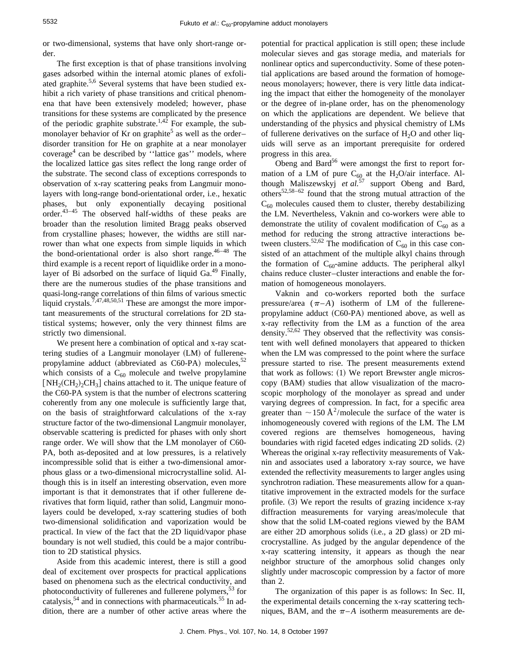or two-dimensional, systems that have only short-range order.

The first exception is that of phase transitions involving gases adsorbed within the internal atomic planes of exfoliated graphite.<sup>5,6</sup> Several systems that have been studied exhibit a rich variety of phase transitions and critical phenomena that have been extensively modeled; however, phase transitions for these systems are complicated by the presence of the periodic graphite substrate.<sup>1,42</sup> For example, the submonolayer behavior of Kr on graphite<sup>5</sup> as well as the order– disorder transition for He on graphite at a near monolayer coverage<sup>4</sup> can be described by "lattice gas" models, where the localized lattice gas sites reflect the long range order of the substrate. The second class of exceptions corresponds to observation of x-ray scattering peaks from Langmuir monolayers with long-range bond-orientational order, i.e., hexatic phases, but only exponentially decaying positional order.43–45 The observed half-widths of these peaks are broader than the resolution limited Bragg peaks observed from crystalline phases; however, the widths are still narrower than what one expects from simple liquids in which the bond-orientational order is also short range.  $46-48$  The third example is a recent report of liquidlike order in a monolayer of Bi adsorbed on the surface of liquid Ga.<sup>49</sup> Finally, there are the numerous studies of the phase transitions and quasi-long-range correlations of thin films of various smectic liquid crystals.<sup>7,47,48,50,51</sup> These are amongst the more important measurements of the structural correlations for 2D statistical systems; however, only the very thinnest films are strictly two dimensional.

We present here a combination of optical and x-ray scattering studies of a Langmuir monolayer  $(LM)$  of fullerenepropylamine adduct (abbreviated as  $C60-PA$ ) molecules,<sup>52</sup> which consists of a  $C_{60}$  molecule and twelve propylamine  $[NH_2(CH_2)_2CH_3]$  chains attached to it. The unique feature of the C60-PA system is that the number of electrons scattering coherently from any one molecule is sufficiently large that, on the basis of straightforward calculations of the x-ray structure factor of the two-dimensional Langmuir monolayer, observable scattering is predicted for phases with only short range order. We will show that the LM monolayer of C60- PA, both as-deposited and at low pressures, is a relatively incompressible solid that is either a two-dimensional amorphous glass or a two-dimensional microcrystalline solid. Although this is in itself an interesting observation, even more important is that it demonstrates that if other fullerene derivatives that form liquid, rather than solid, Langmuir monolayers could be developed, x-ray scattering studies of both two-dimensional solidification and vaporization would be practical. In view of the fact that the 2D liquid/vapor phase boundary is not well studied, this could be a major contribution to 2D statistical physics.

Aside from this academic interest, there is still a good deal of excitement over prospects for practical applications based on phenomena such as the electrical conductivity, and photoconductivity of fullerenes and fullerene polymers,  $53$  for catalysis,<sup>54</sup> and in connections with pharmaceuticals.<sup>55</sup> In addition, there are a number of other active areas where the potential for practical application is still open; these include molecular sieves and gas storage media, and materials for nonlinear optics and superconductivity. Some of these potential applications are based around the formation of homogeneous monolayers; however, there is very little data indicating the impact that either the homogeneity of the monolayer or the degree of in-plane order, has on the phenomenology on which the applications are dependent. We believe that understanding of the physics and physical chemistry of LMs of fullerene derivatives on the surface of  $H<sub>2</sub>O$  and other liquids will serve as an important prerequisite for ordered progress in this area.

Obeng and Bard<sup>56</sup> were amongst the first to report formation of a LM of pure  $C_{60}$  at the H<sub>2</sub>O/air interface. Although Maliszewskyj *et al.*<sup>57</sup> support Obeng and Bard, others52,58–62 found that the strong mutual attraction of the  $C_{60}$  molecules caused them to cluster, thereby destabilizing the LM. Nevertheless, Vaknin and co-workers were able to demonstrate the utility of covalent modification of  $C_{60}$  as a method for reducing the strong attractive interactions between clusters.<sup>52,62</sup> The modification of  $C_{60}$  in this case consisted of an attachment of the multiple alkyl chains through the formation of  $C_{60}$ -amine adducts. The peripheral alkyl chains reduce cluster–cluster interactions and enable the formation of homogeneous monolayers.

Vaknin and co-workers reported both the surface pressure/area  $(\pi - A)$  isotherm of LM of the fullerenepropylamine adduct  $(C60-PA)$  mentioned above, as well as x-ray reflectivity from the LM as a function of the area density.<sup>52,62</sup> They observed that the reflectivity was consistent with well defined monolayers that appeared to thicken when the LM was compressed to the point where the surface pressure started to rise. The present measurements extend that work as follows:  $(1)$  We report Brewster angle microscopy (BAM) studies that allow visualization of the macroscopic morphology of the monolayer as spread and under varying degrees of compression. In fact, for a specific area greater than  $\sim$  150 Å<sup>2</sup>/molecule the surface of the water is inhomogeneously covered with regions of the LM. The LM covered regions are themselves homogeneous, having boundaries with rigid faceted edges indicating  $2D$  solids.  $(2)$ Whereas the original x-ray reflectivity measurements of Vaknin and associates used a laboratory x-ray source, we have extended the reflectivity measurements to larger angles using synchrotron radiation. These measurements allow for a quantitative improvement in the extracted models for the surface profile.  $(3)$  We report the results of grazing incidence x-ray diffraction measurements for varying areas/molecule that show that the solid LM-coated regions viewed by the BAM are either 2D amorphous solids  $(i.e., a 2D glass)$  or 2D microcrystalline. As judged by the angular dependence of the x-ray scattering intensity, it appears as though the near neighbor structure of the amorphous solid changes only slightly under macroscopic compression by a factor of more than 2.

The organization of this paper is as follows: In Sec. II, the experimental details concerning the x-ray scattering techniques, BAM, and the  $\pi$ –*A* isotherm measurements are de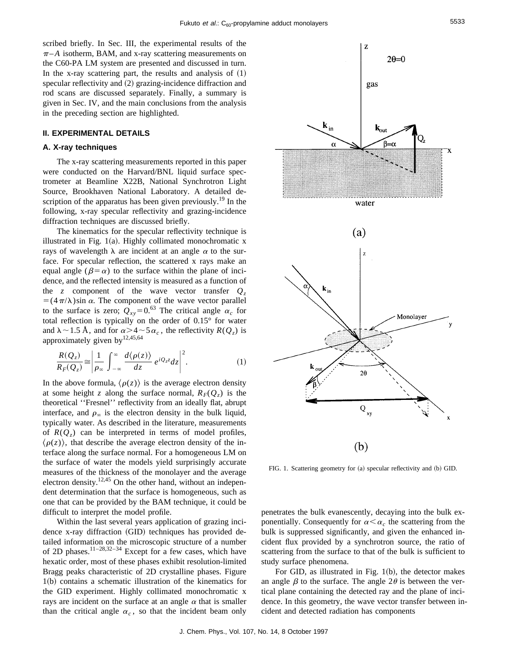scribed briefly. In Sec. III, the experimental results of the  $\pi$ –A isotherm, BAM, and x-ray scattering measurements on the C60-PA LM system are presented and discussed in turn. In the x-ray scattering part, the results and analysis of  $(1)$ specular reflectivity and  $(2)$  grazing-incidence diffraction and rod scans are discussed separately. Finally, a summary is given in Sec. IV, and the main conclusions from the analysis in the preceding section are highlighted.

## **II. EXPERIMENTAL DETAILS**

# **A. X-ray techniques**

The x-ray scattering measurements reported in this paper were conducted on the Harvard/BNL liquid surface spectrometer at Beamline X22B, National Synchrotron Light Source, Brookhaven National Laboratory. A detailed description of the apparatus has been given previously.<sup>19</sup> In the following, x-ray specular reflectivity and grazing-incidence diffraction techniques are discussed briefly.

The kinematics for the specular reflectivity technique is illustrated in Fig.  $1(a)$ . Highly collimated monochromatic x rays of wavelength  $\lambda$  are incident at an angle  $\alpha$  to the surface. For specular reflection, the scattered x rays make an equal angle ( $\beta = \alpha$ ) to the surface within the plane of incidence, and the reflected intensity is measured as a function of the *z* component of the wave vector transfer  $Q_z$  $=$  (4 $\pi$ / $\lambda$ )sin  $\alpha$ . The component of the wave vector parallel to the surface is zero;  $Q_{xy} = 0.63$  The critical angle  $\alpha_c$  for total reflection is typically on the order of 0.15° for water and  $\lambda \sim 1.5$  Å, and for  $\alpha > 4 \sim 5 \alpha_c$ , the reflectivity  $R(Q_z)$  is approximately given by<sup>12,45,64</sup>

$$
\frac{R(Q_z)}{R_F(Q_z)} \approx \left| \frac{1}{\rho_{\infty}} \int_{-\infty}^{\infty} \frac{d\langle \rho(z) \rangle}{dz} e^{iQ_z z} dz \right|^2.
$$
 (1)

In the above formula,  $\langle \rho(z) \rangle$  is the average electron density at some height *z* along the surface normal,  $R_F(Q_z)$  is the theoretical ''Fresnel'' reflectivity from an ideally flat, abrupt interface, and  $\rho_{\infty}$  is the electron density in the bulk liquid, typically water. As described in the literature, measurements of  $R(Q_7)$  can be interpreted in terms of model profiles,  $\langle \rho(z) \rangle$ , that describe the average electron density of the interface along the surface normal. For a homogeneous LM on the surface of water the models yield surprisingly accurate measures of the thickness of the monolayer and the average electron density.<sup>12,45</sup> On the other hand, without an independent determination that the surface is homogeneous, such as one that can be provided by the BAM technique, it could be difficult to interpret the model profile.

Within the last several years application of grazing incidence x-ray diffraction (GID) techniques has provided detailed information on the microscopic structure of a number of 2D phases.<sup>11–28,32–34</sup> Except for a few cases, which have hexatic order, most of these phases exhibit resolution-limited Bragg peaks characteristic of 2D crystalline phases. Figure  $1(b)$  contains a schematic illustration of the kinematics for the GID experiment. Highly collimated monochromatic x rays are incident on the surface at an angle  $\alpha$  that is smaller than the critical angle  $\alpha_c$ , so that the incident beam only



FIG. 1. Scattering geometry for (a) specular reflectivity and (b) GID.

penetrates the bulk evanescently, decaying into the bulk exponentially. Consequently for  $\alpha < \alpha_c$  the scattering from the bulk is suppressed significantly, and given the enhanced incident flux provided by a synchrotron source, the ratio of scattering from the surface to that of the bulk is sufficient to study surface phenomena.

For GID, as illustrated in Fig.  $1(b)$ , the detector makes an angle  $\beta$  to the surface. The angle 2 $\theta$  is between the vertical plane containing the detected ray and the plane of incidence. In this geometry, the wave vector transfer between incident and detected radiation has components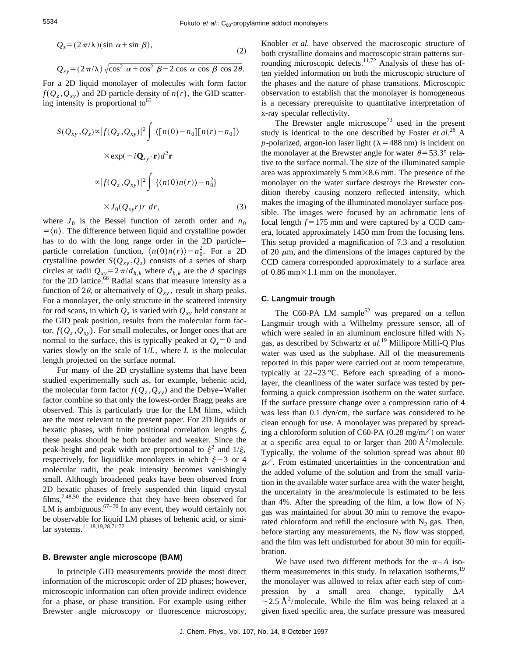$$
Q_z = (2\pi/\lambda)(\sin \alpha + \sin \beta),\tag{2}
$$

$$
Q_{xy} = (2\pi/\lambda)\sqrt{\cos^2\alpha + \cos^2\beta - 2\cos\alpha\cos\beta\cos 2\theta}.
$$

For a 2D liquid monolayer of molecules with form factor  $f(Q_z, Q_{xy})$  and 2D particle density of  $n(r)$ , the GID scattering intensity is proportional to<sup>65</sup>

$$
S(Q_{xy}, Q_z) \propto |f(Q_z, Q_{xy})|^2 \int \langle [n(0) - n_0][n(r) - n_0] \rangle
$$
  
× $\exp(-iQ_{xy} \cdot \mathbf{r})d^2 \mathbf{r}$   
 $\propto |f(Q_z, Q_{xy})|^2 \int \{\langle n(0)n(r) \rangle - n_0^2\}$   
× $J_0(Q_{xy}r)r dr,$  (3)

where  $J_0$  is the Bessel function of zeroth order and  $n_0$  $\overline{\phi} = \langle n \rangle$ . The difference between liquid and crystalline powder has to do with the long range order in the 2D particle– particle correlation function,  $\langle n(0)n(r)\rangle - n_0^2$ . For a 2D crystalline powder  $S(Q_{xy}, Q_z)$  consists of a series of sharp circles at radii  $Q_{xy} = 2\pi/d_{h,k}$  where  $d_{h,k}$  are the *d* spacings for the 2D lattice.<sup>66</sup> Radial scans that measure intensity as a function of 2 $\theta$ , or alternatively of  $Q_{xy}$ , result in sharp peaks. For a monolayer, the only structure in the scattered intensity for rod scans, in which  $Q_z$  is varied with  $Q_{xy}$  held constant at the GID peak position, results from the molecular form factor,  $f(Q_z, Q_{xy})$ . For small molecules, or longer ones that are normal to the surface, this is typically peaked at  $Q<sub>7</sub>=0$  and varies slowly on the scale of 1/*L*, where *L* is the molecular length projected on the surface normal.

For many of the 2D crystalline systems that have been studied experimentally such as, for example, behenic acid, the molecular form factor  $f(Q_z, Q_{xy})$  and the Debye–Waller factor combine so that only the lowest-order Bragg peaks are observed. This is particularly true for the LM films, which are the most relevant to the present paper. For 2D liquids or hexatic phases, with finite positional correlation lengths  $\xi$ , these peaks should be both broader and weaker. Since the peak-height and peak width are proportional to  $\xi^2$  and  $1/\xi$ , respectively, for liquidlike monolayers in which  $\xi \sim 3$  or 4 molecular radii, the peak intensity becomes vanishingly small. Although broadened peaks have been observed from 2D hexatic phases of freely suspended thin liquid crystal films,7,48,50 the evidence that they have been observed for LM is ambiguous. $67-70$  In any event, they would certainly not be observable for liquid LM phases of behenic acid, or similar systems.11,18,19,28,71,72

# **B. Brewster angle microscope (BAM)**

In principle GID measurements provide the most direct information of the microscopic order of 2D phases; however, microscopic information can often provide indirect evidence for a phase, or phase transition. For example using either Brewster angle microscopy or fluorescence microscopy, Knobler *et al.* have observed the macroscopic structure of both crystalline domains and macroscopic strain patterns surrounding microscopic defects.<sup>11,72</sup> Analysis of these has often yielded information on both the microscopic structure of the phases and the nature of phase transitions. Microscopic observation to establish that the monolayer is homogeneous is a necessary prerequisite to quantitative interpretation of x-ray specular reflectivity.

The Brewster angle microscope<sup>73</sup> used in the present study is identical to the one described by Foster *et al.*<sup>28</sup> A *p*-polarized, argon-ion laser light ( $\lambda$  = 488 nm) is incident on the monolayer at the Brewster angle for water  $\theta$ =53.3° relative to the surface normal. The size of the illuminated sample area was approximately 5 mm $\times$ 8.6 mm. The presence of the monolayer on the water surface destroys the Brewster condition thereby causing nonzero reflected intensity, which makes the imaging of the illuminated monolayer surface possible. The images were focused by an achromatic lens of focal length  $f = 175$  mm and were captured by a CCD camera, located approximately 1450 mm from the focusing lens. This setup provided a magnification of 7.3 and a resolution of 20  $\mu$ m, and the dimensions of the images captured by the CCD camera corresponded approximately to a surface area of 0.86 mm $\times$ 1.1 mm on the monolayer.

#### **C. Langmuir trough**

The C60-PA LM sample<sup>52</sup> was prepared on a teflon Langmuir trough with a Wilhelmy pressure sensor, all of which were sealed in an aluminum enclosure filled with  $N_2$ gas, as described by Schwartz *et al.*<sup>19</sup> Millipore Milli-Q Plus water was used as the subphase. All of the measurements reported in this paper were carried out at room temperature, typically at 22–23 °C. Before each spreading of a monolayer, the cleanliness of the water surface was tested by performing a quick compression isotherm on the water surface. If the surface pressure change over a compression ratio of 4 was less than 0.1 dyn/cm, the surface was considered to be clean enough for use. A monolayer was prepared by spreading a chloroform solution of C60-PA (0.28 mg/m $\ell$ ) on water at a specific area equal to or larger than 200  $\AA^2$ /molecule. Typically, the volume of the solution spread was about 80  $\mu\ell$ . From estimated uncertainties in the concentration and the added volume of the solution and from the small variation in the available water surface area with the water height, the uncertainty in the area/molecule is estimated to be less than 4%. After the spreading of the film, a low flow of  $N_2$ gas was maintained for about 30 min to remove the evaporated chloroform and refill the enclosure with  $N_2$  gas. Then, before starting any measurements, the  $N_2$  flow was stopped, and the film was left undisturbed for about 30 min for equilibration.

We have used two different methods for the  $\pi$ –*A* isotherm measurements in this study. In relaxation isotherms,<sup>19</sup> the monolayer was allowed to relax after each step of compression by a small area change, typically  $\Delta A$  $\sim$  2.5 Å<sup>2</sup>/molecule. While the film was being relaxed at a given fixed specific area, the surface pressure was measured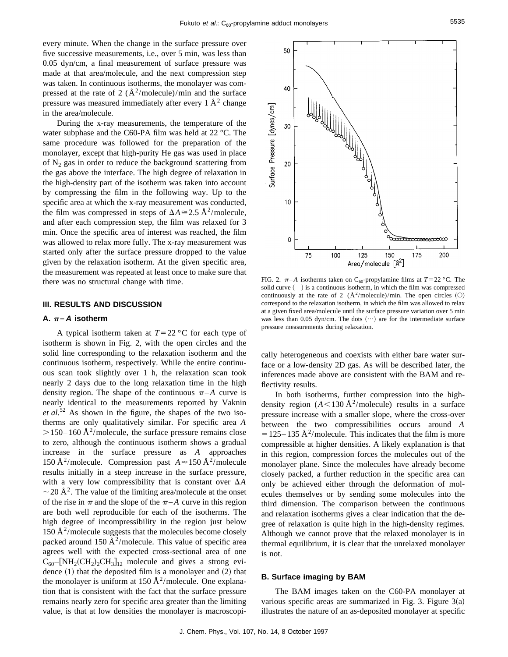every minute. When the change in the surface pressure over five successive measurements, i.e., over 5 min, was less than 0.05 dyn/cm, a final measurement of surface pressure was made at that area/molecule, and the next compression step was taken. In continuous isotherms, the monolayer was compressed at the rate of 2 ( $\AA^2$ /molecule)/min and the surface pressure was measured immediately after every  $1 \text{ Å}^2$  change in the area/molecule.

During the x-ray measurements, the temperature of the water subphase and the C60-PA film was held at 22 °C. The same procedure was followed for the preparation of the monolayer, except that high-purity He gas was used in place of  $N_2$  gas in order to reduce the background scattering from the gas above the interface. The high degree of relaxation in the high-density part of the isotherm was taken into account by compressing the film in the following way. Up to the specific area at which the x-ray measurement was conducted, the film was compressed in steps of  $\Delta A \cong 2.5 \text{ Å}^2/\text{molecule}$ , and after each compression step, the film was relaxed for 3 min. Once the specific area of interest was reached, the film was allowed to relax more fully. The x-ray measurement was started only after the surface pressure dropped to the value given by the relaxation isotherm. At the given specific area, the measurement was repeated at least once to make sure that there was no structural change with time.

## **III. RESULTS AND DISCUSSION**

#### **A.**  $\pi$ –*A* **isotherm**

A typical isotherm taken at  $T=22 \degree C$  for each type of isotherm is shown in Fig. 2, with the open circles and the solid line corresponding to the relaxation isotherm and the continuous isotherm, respectively. While the entire continuous scan took slightly over 1 h, the relaxation scan took nearly 2 days due to the long relaxation time in the high density region. The shape of the continuous  $\pi$ –*A* curve is nearly identical to the measurements reported by Vaknin *et al.*<sup>52</sup> As shown in the figure, the shapes of the two isotherms are only qualitatively similar. For specific area *A*  $>$  150– 160 Å<sup>2</sup>/molecule, the surface pressure remains close to zero, although the continuous isotherm shows a gradual increase in the surface pressure as *A* approaches 150 Å<sup>2</sup>/molecule. Compression past  $A \approx 150$  Å<sup>2</sup>/molecule results initially in a steep increase in the surface pressure, with a very low compressibility that is constant over  $\Delta A$  $\sim$  20 Å<sup>2</sup>. The value of the limiting area/molecule at the onset of the rise in  $\pi$  and the slope of the  $\pi$ –*A* curve in this region are both well reproducible for each of the isotherms. The high degree of incompressibility in the region just below  $150 \text{ Å}^2$ /molecule suggests that the molecules become closely packed around 150  $\AA^2$ /molecule. This value of specific area agrees well with the expected cross-sectional area of one  $C_{60}$ –[NH<sub>2</sub>(CH<sub>2</sub>)<sub>2</sub>CH<sub>3</sub>]<sub>12</sub> molecule and gives a strong evidence  $(1)$  that the deposited film is a monolayer and  $(2)$  that the monolayer is uniform at 150  $\AA^2$ /molecule. One explanation that is consistent with the fact that the surface pressure remains nearly zero for specific area greater than the limiting value, is that at low densities the monolayer is macroscopi-



FIG. 2.  $\pi$ –*A* isotherms taken on C<sub>60</sub>-propylamine films at *T*=22 °C. The solid curve  $(-)$  is a continuous isotherm, in which the film was compressed continuously at the rate of 2 ( $\AA^2$ /molecule)/min. The open circles (O) correspond to the relaxation isotherm, in which the film was allowed to relax at a given fixed area/molecule until the surface pressure variation over 5 min was less than 0.05 dyn/cm. The dots  $(\cdots)$  are for the intermediate surface pressure measurements during relaxation.

cally heterogeneous and coexists with either bare water surface or a low-density 2D gas. As will be described later, the inferences made above are consistent with the BAM and reflectivity results.

In both isotherms, further compression into the highdensity region  $(A<130 \text{ Å}^2/\text{molecule})$  results in a surface pressure increase with a smaller slope, where the cross-over between the two compressibilities occurs around *A*  $=$  125–135 Å<sup>2</sup>/molecule. This indicates that the film is more compressible at higher densities. A likely explanation is that in this region, compression forces the molecules out of the monolayer plane. Since the molecules have already become closely packed, a further reduction in the specific area can only be achieved either through the deformation of molecules themselves or by sending some molecules into the third dimension. The comparison between the continuous and relaxation isotherms gives a clear indication that the degree of relaxation is quite high in the high-density regimes. Although we cannot prove that the relaxed monolayer is in thermal equilibrium, it is clear that the unrelaxed monolayer is not.

#### **B. Surface imaging by BAM**

The BAM images taken on the C60-PA monolayer at various specific areas are summarized in Fig. 3. Figure  $3(a)$ illustrates the nature of an as-deposited monolayer at specific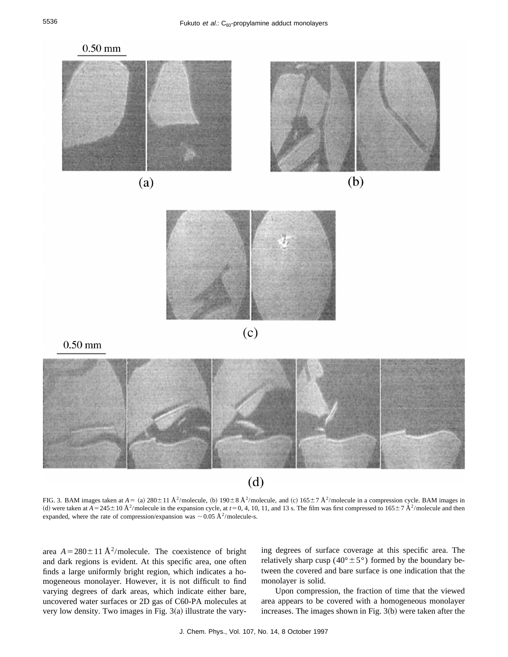

FIG. 3. BAM images taken at  $A = (a) 280 \pm 11 \text{ Å}^2/\text{molecule}$ , (b)  $190 \pm 8 \text{ Å}^2/\text{molecule}$ , and (c)  $165 \pm 7 \text{ Å}^2/\text{molecule}$  in a compression cycle. BAM images in (d) were taken at  $A = 245 \pm 10 \text{ Å}^2/\text{molecule}$  in the expansion cycle, at  $t = 0, 4, 10, 11,$  and 13 s. The film was first compressed to  $165 \pm 7 \text{ Å}^2/\text{molecule}$  and then expanded, where the rate of compression/expansion was  $\sim$  0.05 Å<sup>2</sup>/molecule-s.

area  $A = 280 \pm 11 \text{ Å}^2/\text{molecule}$ . The coexistence of bright and dark regions is evident. At this specific area, one often finds a large uniformly bright region, which indicates a homogeneous monolayer. However, it is not difficult to find varying degrees of dark areas, which indicate either bare, uncovered water surfaces or 2D gas of C60-PA molecules at very low density. Two images in Fig.  $3(a)$  illustrate the varying degrees of surface coverage at this specific area. The relatively sharp cusp ( $40^{\circ} \pm 5^{\circ}$ ) formed by the boundary between the covered and bare surface is one indication that the monolayer is solid.

Upon compression, the fraction of time that the viewed area appears to be covered with a homogeneous monolayer increases. The images shown in Fig.  $3(b)$  were taken after the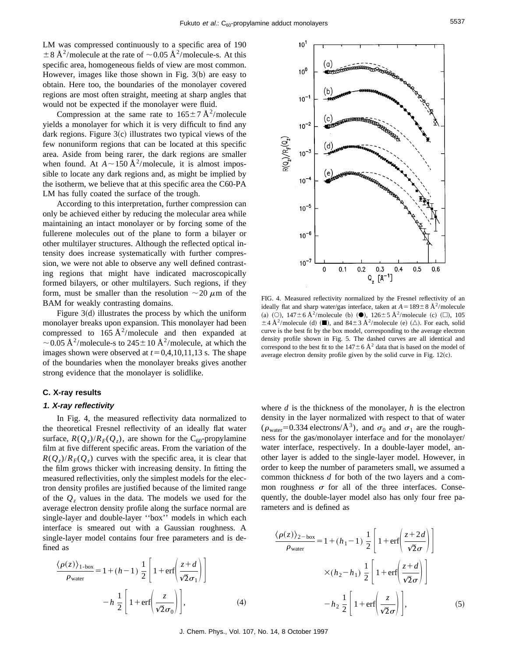$10<sup>1</sup>$ 

 $10<sup>0</sup>$ 

(a)

b.

LM was compressed continuously to a specific area of 190  $\pm 8$  Å<sup>2</sup>/molecule at the rate of  $\sim$  0.05 Å<sup>2</sup>/molecule-s. At this specific area, homogeneous fields of view are most common. However, images like those shown in Fig.  $3(b)$  are easy to obtain. Here too, the boundaries of the monolayer covered regions are most often straight, meeting at sharp angles that would not be expected if the monolayer were fluid.

Compression at the same rate to  $165 \pm 7 \text{ Å}^2/\text{molecule}$ yields a monolayer for which it is very difficult to find any dark regions. Figure  $3(c)$  illustrates two typical views of the few nonuniform regions that can be located at this specific area. Aside from being rarer, the dark regions are smaller when found. At  $A \sim 150 \text{ Å}^2/\text{molecule}$ , it is almost impossible to locate any dark regions and, as might be implied by the isotherm, we believe that at this specific area the C60-PA LM has fully coated the surface of the trough.

According to this interpretation, further compression can only be achieved either by reducing the molecular area while maintaining an intact monolayer or by forcing some of the fullerene molecules out of the plane to form a bilayer or other multilayer structures. Although the reflected optical intensity does increase systematically with further compression, we were not able to observe any well defined contrasting regions that might have indicated macroscopically formed bilayers, or other multilayers. Such regions, if they form, must be smaller than the resolution  $\sim$  20  $\mu$ m of the BAM for weakly contrasting domains.

Figure  $3(d)$  illustrates the process by which the uniform monolayer breaks upon expansion. This monolayer had been compressed to  $165 \text{ Å}^2/\text{molecule}$  and then expanded at ~0.05 Å<sup>2</sup>/molecule-s to 245 ± 10 Å<sup>2</sup>/molecule, at which the images shown were observed at  $t=0.4,10,11,13$  s. The shape of the boundaries when the monolayer breaks gives another strong evidence that the monolayer is solidlike.

## **C. X-ray results**

#### **1. X-ray reflectivity**

In Fig. 4, the measured reflectivity data normalized to the theoretical Fresnel reflectivity of an ideally flat water surface,  $R(Q_z)/R_F(Q_z)$ , are shown for the C<sub>60</sub>-propylamine film at five different specific areas. From the variation of the  $R(Q_z)/R_F(Q_z)$  curves with the specific area, it is clear that the film grows thicker with increasing density. In fitting the measured reflectivities, only the simplest models for the electron density profiles are justified because of the limited range of the  $Q<sub>z</sub>$  values in the data. The models we used for the average electron density profile along the surface normal are single-layer and double-layer ''box'' models in which each interface is smeared out with a Gaussian roughness. A single-layer model contains four free parameters and is defined as

$$
\frac{\langle \rho(z) \rangle_{1-\text{box}}}{\rho_{\text{water}}} = 1 + (h - 1) \frac{1}{2} \left[ 1 + \text{erf} \left( \frac{z + d}{\sqrt{2} \sigma_1} \right) \right]
$$

$$
- h \frac{1}{2} \left[ 1 + \text{erf} \left( \frac{z}{\sqrt{2} \sigma_0} \right) \right], \tag{4}
$$



FIG. 4. Measured reflectivity normalized by the Fresnel reflectivity of an ideally flat and sharp water/gas interface, taken at  $A = 189 \pm 8 \text{ Å}^2/\text{molecule}$ (a) (O),  $147 \pm 6 \text{ Å}^2/\text{molecule}$  (b) ( $\bullet$ ),  $126 \pm 5 \text{ Å}^2/\text{molecule}$  (c) ( $\Box$ ), 105  $\pm$  4 Å<sup>2</sup>/molecule (d) ( $\blacksquare$ ), and 84 $\pm$  3 Å<sup>2</sup>/molecule (e) ( $\triangle$ ). For each, solid curve is the best fit by the box model, corresponding to the average electron density profile shown in Fig. 5. The dashed curves are all identical and correspond to the best fit to the  $147 \pm 6$  Å<sup>2</sup> data that is based on the model of average electron density profile given by the solid curve in Fig.  $12(c)$ .

where *d* is the thickness of the monolayer, *h* is the electron density in the layer normalized with respect to that of water ( $\rho_{\text{water}}$ =0.334 electrons/ $\AA^3$ ), and  $\sigma_0$  and  $\sigma_1$  are the roughness for the gas/monolayer interface and for the monolayer/ water interface, respectively. In a double-layer model, another layer is added to the single-layer model. However, in order to keep the number of parameters small, we assumed a common thickness *d* for both of the two layers and a common roughness  $\sigma$  for all of the three interfaces. Consequently, the double-layer model also has only four free parameters and is defined as

$$
\frac{\langle \rho(z) \rangle_{2-\text{box}}}{\rho_{\text{water}}} = 1 + (h_1 - 1) \frac{1}{2} \left[ 1 + \text{erf} \left( \frac{z + 2d}{\sqrt{2}\sigma} \right) \right]
$$

$$
\times (h_2 - h_1) \frac{1}{2} \left[ 1 + \text{erf} \left( \frac{z + d}{\sqrt{2}\sigma} \right) \right]
$$

$$
- h_2 \frac{1}{2} \left[ 1 + \text{erf} \left( \frac{z}{\sqrt{2}\sigma} \right) \right], \tag{5}
$$

 $0.6$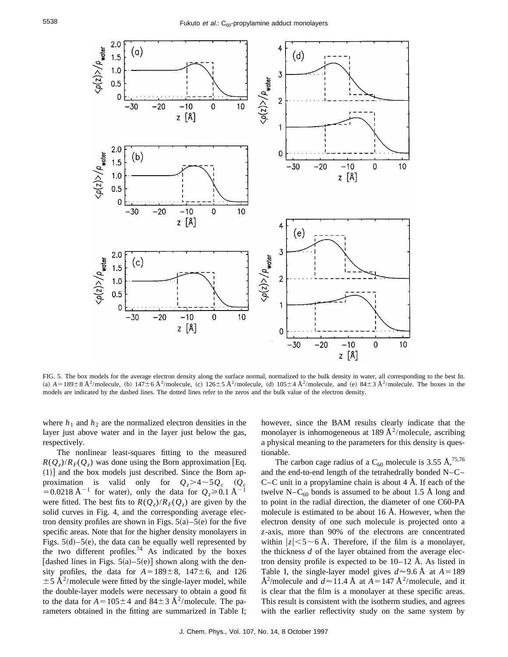

FIG. 5. The box models for the average electron density along the surface normal, normalized to the bulk density in water, all corresponding to the best fit. (a)  $A = 189 \pm 8 \text{ Å}^2/\text{molecule}$ , (b)  $147 \pm 6 \text{ Å}^2/\text{molecule}$ , (c)  $126 \pm 5 \text{ Å}^2/\text{molecule}$ , (d)  $105 \pm 4 \text{ Å}^2/\text{molecule}$ , and (e)  $84 \pm 3 \text{ Å}^2/\text{molecule}$ . The boxes in the models are indicated by the dashed lines. The dotted lines refer to the zeros and the bulk value of the electron density.

where  $h_1$  and  $h_2$  are the normalized electron densities in the layer just above water and in the layer just below the gas, respectively.

The nonlinear least-squares fitting to the measured  $R(Q_z)/R_F(Q_z)$  was done using the Born approximation [Eq.  $(1)$ ] and the box models just described. Since the Born approximation is valid only for  $Q_z > 4 \sim 5Q_c$  ( $Q_c$ =0.0218 Å<sup>-1</sup> for water), only the data for  $Q_z \ge 0.1$  Å<sup>-1</sup> were fitted. The best fits to  $R(Q_z)/R_F(Q_z)$  are given by the solid curves in Fig. 4, and the corresponding average electron density profiles are shown in Figs.  $5(a)$ – $5(e)$  for the five specific areas. Note that for the higher density monolayers in Figs.  $5(d)$ – $5(e)$ , the data can be equally well represented by the two different profiles.<sup>74</sup> As indicated by the boxes [dashed lines in Figs.  $5(a) - 5(e)$ ] shown along with the density profiles, the data for  $A=189\pm8$ ,  $147\pm6$ , and 126  $\pm$  5 Å<sup>2</sup>/molecule were fitted by the single-layer model, while the double-layer models were necessary to obtain a good fit to the data for  $A=105\pm4$  and  $84\pm3$  Å<sup>2</sup>/molecule. The parameters obtained in the fitting are summarized in Table I; however, since the BAM results clearly indicate that the monolayer is inhomogeneous at 189  $A^2$ /molecule, ascribing a physical meaning to the parameters for this density is questionable.

The carbon cage radius of a C<sub>60</sub> molecule is 3.55 Å,<sup>75,76</sup> and the end-to-end length of the tetrahedrally bonded N–C– C–C unit in a propylamine chain is about  $4 \text{ Å}$ . If each of the twelve N–C<sub>60</sub> bonds is assumed to be about 1.5 Å long and to point in the radial direction, the diameter of one C60-PA molecule is estimated to be about 16 Å. However, when the electron density of one such molecule is projected onto a *z*-axis, more than 90% of the electrons are concentrated within  $|z| < 5 \sim 6$  Å. Therefore, if the film is a monolayer, the thickness *d* of the layer obtained from the average electron density profile is expected to be  $10-12$  Å. As listed in Table I, the single-layer model gives  $d \approx 9.6$  Å at  $A = 189$  $\AA^2$ /molecule and  $d \approx 11.4 \text{ Å}$  at  $A = 147 \text{ Å}^2$ /molecule, and it is clear that the film is a monolayer at these specific areas. This result is consistent with the isotherm studies, and agrees with the earlier reflectivity study on the same system by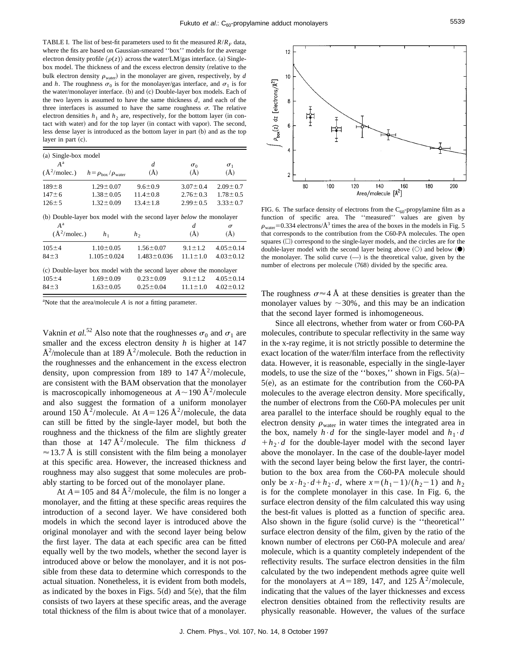TABLE I. The list of best-fit parameters used to fit the measured  $R/R<sub>F</sub>$  data, where the fits are based on Gaussian-smeared ''box'' models for the average electron density profile  $\langle \rho(z) \rangle$  across the water/LM/gas interface. (a) Singlebox model. The thickness of and the excess electron density (relative to the bulk electron density  $\rho_{\text{water}}$ ) in the monolayer are given, respectively, by  $d$ and *h*. The roughness  $\sigma_0$  is for the monolayer/gas interface, and  $\sigma_1$  is for the water/monolayer interface. (b) and (c) Double-layer box models. Each of the two layers is assumed to have the same thickness *d*, and each of the three interfaces is assumed to have the same roughness  $\sigma$ . The relative electron densities  $h_1$  and  $h_2$  are, respectively, for the bottom layer (in contact with water) and for the top layer (in contact with vapor). The second, less dense layer is introduced as the bottom layer in part (b) and as the top layer in part  $(c)$ .

| (a) Single-box model             |                                             |                |                          |                          |
|----------------------------------|---------------------------------------------|----------------|--------------------------|--------------------------|
| $A^{\rm a}$<br>$(\AA^2$ /molec.) | $h = \rho_{\text{box}}/\rho_{\text{water}}$ | d<br>$(\AA)$   | $\sigma_0$<br>$\rm(\AA)$ | $\sigma_1$<br>$\rm(\AA)$ |
| $189 \pm 8$                      | $1.29 \pm 0.07$                             | $9.6 \pm 0.9$  | $3.07 \pm 0.4$           | $2.09 \pm 0.7$           |
| $147 \pm 6$                      | $1.38 \pm 0.05$                             | $11.4 \pm 0.8$ | $2.76 \pm 0.3$           | $1.78 \pm 0.5$           |
| $126 \pm 5$                      | $1.32 \pm 0.09$                             | $13.4 \pm 1.8$ | $2.99 \pm 0.5$           | $3.33 \pm 0.7$           |

(b) Double-layer box model with the second layer *below* the monolayer

| $A^{\rm a}$<br>$(\AA^2$ /molec.) | h <sub>1</sub>    | h <sub>2</sub>                                                              | d<br>$\rm(\AA)$ | $\sigma$<br>$\rm(\AA)$ |
|----------------------------------|-------------------|-----------------------------------------------------------------------------|-----------------|------------------------|
| $105 \pm 4$                      | $1.10 \pm 0.05$   | $1.56 \pm 0.07$                                                             | $9.1 \pm 1.2$   | $4.05 \pm 0.14$        |
| $84 \pm 3$                       | $1.105 \pm 0.024$ | $1.483 \pm 0.036$                                                           | $11.1 + 1.0$    | $4.03 \pm 0.12$        |
|                                  |                   | (c) Double-layer box model with the second layer <i>above</i> the monolayer |                 |                        |
| $105 \pm 4$                      | $1.69 \pm 0.09$   | $0.23 \pm 0.09$                                                             | $9.1 \pm 1.2$   | $4.05 \pm 0.14$        |
| $84 \pm 3$                       | $1.63 \pm 0.05$   | $0.25 \pm 0.04$                                                             | $11.1 \pm 1.0$  | $4.02 \pm 0.12$        |

a Note that the area/molecule *A* is *not* a fitting parameter.

Vaknin *et al.*<sup>52</sup> Also note that the roughnesses  $\sigma_0$  and  $\sigma_1$  are smaller and the excess electron density *h* is higher at 147 Å<sup>2</sup>/molecule than at 189 Å<sup>2</sup>/molecule. Both the reduction in the roughnesses and the enhancement in the excess electron density, upon compression from 189 to 147  $\AA^2$ /molecule, are consistent with the BAM observation that the monolayer is macroscopically inhomogeneous at  $A \sim 190 \text{ Å}^2/\text{molecule}$ and also suggest the formation of a uniform monolayer around 150 Å<sup>2</sup>/molecule. At  $A = 126$  Å<sup>2</sup>/molecule, the data can still be fitted by the single-layer model, but both the roughness and the thickness of the film are slightly greater than those at  $147 \text{ Å}^2/\text{molecule}$ . The film thickness *d*  $\approx$  13.7 Å is still consistent with the film being a monolayer at this specific area. However, the increased thickness and roughness may also suggest that some molecules are probably starting to be forced out of the monolayer plane.

At  $A = 105$  and 84 Å<sup>2</sup>/molecule, the film is no longer a monolayer, and the fitting at these specific areas requires the introduction of a second layer. We have considered both models in which the second layer is introduced above the original monolayer and with the second layer being below the first layer. The data at each specific area can be fitted equally well by the two models, whether the second layer is introduced above or below the monolayer, and it is not possible from these data to determine which corresponds to the actual situation. Nonetheless, it is evident from both models, as indicated by the boxes in Figs.  $5(d)$  and  $5(e)$ , that the film consists of two layers at these specific areas, and the average total thickness of the film is about twice that of a monolayer.



FIG. 6. The surface density of electrons from the  $C_{60}$ -propylamine film as a function of specific area. The ''measured'' values are given by  $\rho_{\text{water}}$ =0.334 electrons/ $\AA$ <sup>3</sup> times the area of the boxes in the models in Fig. 5 that corresponds to the contribution from the C60-PA molecules. The open squares  $( \Box )$  correspond to the single-layer models, and the circles are for the double-layer model with the second layer being above  $(\bigcirc)$  and below  $(\bullet)$ the monolayer. The solid curve  $(-)$  is the theoretical value, given by the number of electrons per molecule (768) divided by the specific area.

The roughness  $\sigma \approx 4$  Å at these densities is greater than the monolayer values by  $\sim$  30%, and this may be an indication that the second layer formed is inhomogeneous.

Since all electrons, whether from water or from C60-PA molecules, contribute to specular reflectivity in the same way in the x-ray regime, it is not strictly possible to determine the exact location of the water/film interface from the reflectivity data. However, it is reasonable, especially in the single-layer models, to use the size of the "boxes," shown in Figs.  $5(a)$ –  $5(e)$ , as an estimate for the contribution from the C60-PA molecules to the average electron density. More specifically, the number of electrons from the C60-PA molecules per unit area parallel to the interface should be roughly equal to the electron density  $\rho_{\text{water}}$  in water times the integrated area in the box, namely  $h \cdot d$  for the single-layer model and  $h_1 \cdot d$  $+h_2 \cdot d$  for the double-layer model with the second layer above the monolayer. In the case of the double-layer model with the second layer being below the first layer, the contribution to the box area from the C60-PA molecule should only be  $x \cdot h_2 \cdot d + h_2 \cdot d$ , where  $x = (h_1 - 1)/(h_2 - 1)$  and  $h_2$ is for the complete monolayer in this case. In Fig. 6, the surface electron density of the film calculated this way using the best-fit values is plotted as a function of specific area. Also shown in the figure (solid curve) is the "theoretical" surface electron density of the film, given by the ratio of the known number of electrons per C60-PA molecule and area/ molecule, which is a quantity completely independent of the reflectivity results. The surface electron densities in the film calculated by the two independent methods agree quite well for the monolayers at  $A=189$ , 147, and 125 Å<sup>2</sup>/molecule, indicating that the values of the layer thicknesses and excess electron densities obtained from the reflectivity results are physically reasonable. However, the values of the surface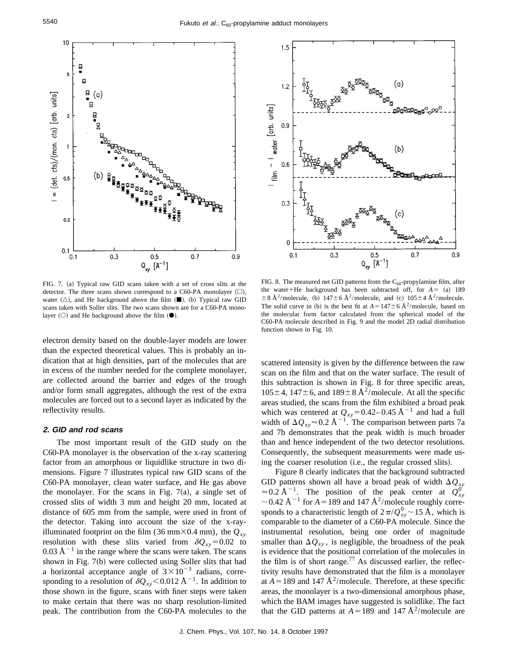

FIG. 7. (a) Typical raw GID scans taken with a set of cross slits at the detector. The three scans shown correspond to a C60-PA monolayer  $(\square)$ , water  $(\triangle)$ , and He background above the film  $(\blacksquare)$ . (b) Typical raw GID scans taken with Soller slits. The two scans shown are for a C60-PA monolayer  $(O)$  and He background above the film  $(①)$ .

electron density based on the double-layer models are lower than the expected theoretical values. This is probably an indication that at high densities, part of the molecules that are in excess of the number needed for the complete monolayer, are collected around the barrier and edges of the trough and/or form small aggregates, although the rest of the extra molecules are forced out to a second layer as indicated by the reflectivity results.

# **2. GID and rod scans**

The most important result of the GID study on the C60-PA monolayer is the observation of the x-ray scattering factor from an amorphous or liquidlike structure in two dimensions. Figure 7 illustrates typical raw GID scans of the C60-PA monolayer, clean water surface, and He gas above the monolayer. For the scans in Fig.  $7(a)$ , a single set of crossed slits of width 3 mm and height 20 mm, located at distance of 605 mm from the sample, were used in front of the detector. Taking into account the size of the x-rayilluminated footprint on the film (36 mm×0.4 mm), the  $Q_{xy}$ resolution with these slits varied from  $\delta Q_{xy} = 0.02$  to  $0.03 \text{ Å}^{-1}$  in the range where the scans were taken. The scans shown in Fig.  $7(b)$  were collected using Soller slits that had a horizontal acceptance angle of  $3 \times 10^{-3}$  radians, corresponding to a resolution of  $\delta Q_{xy}$ <0.012 Å<sup>-1</sup>. In addition to those shown in the figure, scans with finer steps were taken to make certain that there was no sharp resolution-limited peak. The contribution from the C60-PA molecules to the



FIG. 8. The measured net GID patterns from the  $C_{60}$ -propylamine film, after the water+He background has been subtracted off, for  $A = (a)$  189  $\pm 8$  Å<sup>2</sup>/molecule, (b)  $147\pm 6$  Å<sup>2</sup>/molecule, and (c)  $105\pm 4$  Å<sup>2</sup>/molecule. The solid curve in (b) is the best fit at  $A=147\pm6$  Å<sup>2</sup>/molecule, based on the molecular form factor calculated from the spherical model of the C60-PA molecule described in Fig. 9 and the model 2D radial distribution function shown in Fig. 10.

scattered intensity is given by the difference between the raw scan on the film and that on the water surface. The result of this subtraction is shown in Fig. 8 for three specific areas,  $105\pm4$ ,  $147\pm6$ , and  $189\pm8$  Å<sup>2</sup>/molecule. At all the specific areas studied, the scans from the film exhibited a broad peak which was centered at  $Q_{xy}$ =0.42–0.45 Å<sup>-1</sup> and had a full width of  $\Delta Q_{xy} \approx 0.2 \text{ Å}^{-1}$ . The comparison between parts 7a and 7b demonstrates that the peak width is much broader than and hence independent of the two detector resolutions. Consequently, the subsequent measurements were made using the coarser resolution (i.e., the regular crossed slits).

Figure 8 clearly indicates that the background subtracted GID patterns shown all have a broad peak of width  $\Delta Q_{XY}$  $\approx 0.2$  Å<sup>-1</sup>. The position of the peak center at  $Q_{xy}^{0'}$  $\sim$  0.42 Å<sup>-1</sup> for *A* = 189 and 147 Å<sup>2</sup>/molecule roughly corresponds to a characteristic length of  $2\pi/Q_{xy}^0$  ~ 15 Å, which is comparable to the diameter of a C60-PA molecule. Since the instrumental resolution, being one order of magnitude smaller than  $\Delta Q_{xy}$ , is negligible, the broadness of the peak is evidence that the positional correlation of the molecules in the film is of short range.<sup>77</sup> As discussed earlier, the reflectivity results have demonstrated that the film is a monolayer at  $A=189$  and 147 Å<sup>2</sup>/molecule. Therefore, at these specific areas, the monolayer is a two-dimensional amorphous phase, which the BAM images have suggested is solidlike. The fact that the GID patterns at  $A=189$  and 147 Å<sup>2</sup>/molecule are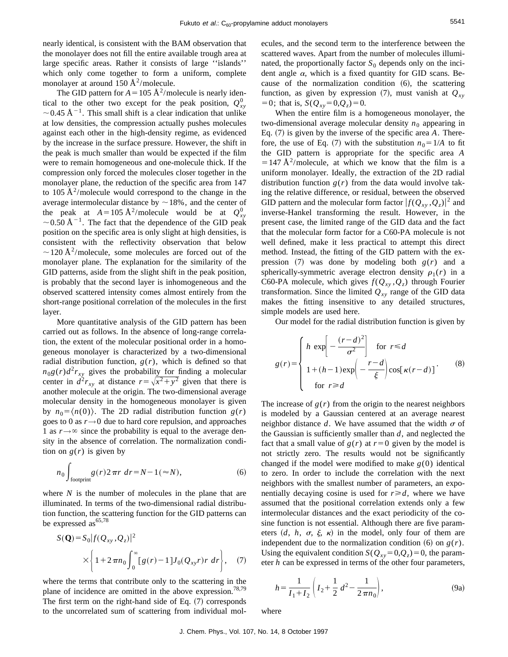nearly identical, is consistent with the BAM observation that the monolayer does not fill the entire available trough area at large specific areas. Rather it consists of large ''islands'' which only come together to form a uniform, complete monolayer at around  $150 \text{ Å}^2/\text{molecule.}$ 

The GID pattern for  $A = 105 \text{ Å}^2/\text{molecule}$  is nearly identical to the other two except for the peak position,  $Q_{xy}^0$  $\sim$  0.45 Å<sup>-1</sup>. This small shift is a clear indication that unlike at low densities, the compression actually pushes molecules against each other in the high-density regime, as evidenced by the increase in the surface pressure. However, the shift in the peak is much smaller than would be expected if the film were to remain homogeneous and one-molecule thick. If the compression only forced the molecules closer together in the monolayer plane, the reduction of the specific area from 147 to 105  $A^2$ /molecule would correspond to the change in the average intermolecular distance by  $\sim$  18%, and the center of the peak at  $A=105 \text{ Å}^2/\text{molecule}$  would be at  $Q_{xy}^0$  $\sim$  0.50 Å<sup>-1</sup>. The fact that the dependence of the GID peak position on the specific area is only slight at high densities, is consistent with the reflectivity observation that below  $\sim$  120 Å<sup>2</sup>/molecule, some molecules are forced out of the monolayer plane. The explanation for the similarity of the GID patterns, aside from the slight shift in the peak position, is probably that the second layer is inhomogeneous and the observed scattered intensity comes almost entirely from the short-range positional correlation of the molecules in the first layer.

More quantitative analysis of the GID pattern has been carried out as follows. In the absence of long-range correlation, the extent of the molecular positional order in a homogeneous monolayer is characterized by a two-dimensional radial distribution function,  $g(r)$ , which is defined so that  $n_0 g(r) d^2 r_{xy}$  gives the probability for finding a molecular center in  $\hat{d}^2 r_{xy}$  at distance  $r = \sqrt{x^2 + y^2}$  given that there is another molecule at the origin. The two-dimensional average molecular density in the homogeneous monolayer is given by  $n_0 = \langle n(0) \rangle$ . The 2D radial distribution function  $g(r)$ goes to 0 as  $r \rightarrow 0$  due to hard core repulsion, and approaches 1 as  $r \rightarrow \infty$  since the probability is equal to the average density in the absence of correlation. The normalization condition on  $g(r)$  is given by

$$
n_0 \int_{\text{footprint}} g(r) 2\,\pi r \, dr = N - 1 \, (\approx N), \tag{6}
$$

where *N* is the number of molecules in the plane that are illuminated. In terms of the two-dimensional radial distribution function, the scattering function for the GID patterns can be expressed  $as^{65,78}$ 

$$
S(\mathbf{Q}) = S_0 |f(Q_{xy}, Q_z)|^2
$$
  
 
$$
\times \left\{ 1 + 2 \pi n_0 \int_0^\infty [g(r) - 1] J_0(Q_{xy}r) r \, dr \right\}, \quad (7)
$$

where the terms that contribute only to the scattering in the plane of incidence are omitted in the above expression.<sup>78,79</sup> The first term on the right-hand side of Eq.  $(7)$  corresponds to the uncorrelated sum of scattering from individual molecules, and the second term to the interference between the scattered waves. Apart from the number of molecules illuminated, the proportionally factor  $S_0$  depends only on the incident angle  $\alpha$ , which is a fixed quantity for GID scans. Because of the normalization condition  $(6)$ , the scattering function, as given by expression  $(7)$ , must vanish at  $Q_{xy}$  $= 0$ ; that is,  $S(Q_{xy} = 0, Q_{z}) = 0$ .

When the entire film is a homogeneous monolayer, the two-dimensional average molecular density  $n_0$  appearing in Eq.  $(7)$  is given by the inverse of the specific area A. Therefore, the use of Eq. (7) with the substitution  $n_0 = 1/A$  to fit the GID pattern is appropriate for the specific area *A*  $=147 \text{ Å}^2/\text{molecule}$ , at which we know that the film is a uniform monolayer. Ideally, the extraction of the 2D radial distribution function  $g(r)$  from the data would involve taking the relative difference, or residual, between the observed GID pattern and the molecular form factor  $|f(Q_{xy}, Q_z)|^2$  and inverse-Hankel transforming the result. However, in the present case, the limited range of the GID data and the fact that the molecular form factor for a C60-PA molecule is not well defined, make it less practical to attempt this direct method. Instead, the fitting of the GID pattern with the expression  $(7)$  was done by modeling both  $g(r)$  and a spherically-symmetric average electron density  $\rho_1(r)$  in a C60-PA molecule, which gives  $f(Q_{xy}, Q_z)$  through Fourier transformation. Since the limited  $Q_{xy}$  range of the GID data makes the fitting insensitive to any detailed structures, simple models are used here.

Our model for the radial distribution function is given by

$$
g(r) = \begin{cases} h \exp\left[-\frac{(r-d)^2}{\sigma^2}\right] & \text{for } r \le d \\ 1 + (h-1)\exp\left(-\frac{r-d}{\xi}\right)\cos[\kappa(r-d)] \\ & \text{for } r \ge d \end{cases}
$$
(8)

The increase of  $g(r)$  from the origin to the nearest neighbors is modeled by a Gaussian centered at an average nearest neighbor distance  $d$ . We have assumed that the width  $\sigma$  of the Gaussian is sufficiently smaller than *d*, and neglected the fact that a small value of  $g(r)$  at  $r=0$  given by the model is not strictly zero. The results would not be significantly changed if the model were modified to make  $g(0)$  identical to zero. In order to include the correlation with the next neighbors with the smallest number of parameters, an exponentially decaying cosine is used for  $r \ge d$ , where we have assumed that the positional correlation extends only a few intermolecular distances and the exact periodicity of the cosine function is not essential. Although there are five parameters  $(d, h, \sigma, \xi, \kappa)$  in the model, only four of them are independent due to the normalization condition  $(6)$  on  $g(r)$ . Using the equivalent condition  $S(Q_{xy}=0,Q_{z})=0$ , the parameter *h* can be expressed in terms of the other four parameters,

$$
h = \frac{1}{I_1 + I_2} \left( I_2 + \frac{1}{2} d^2 - \frac{1}{2 \pi n_0} \right),
$$
 (9a)

where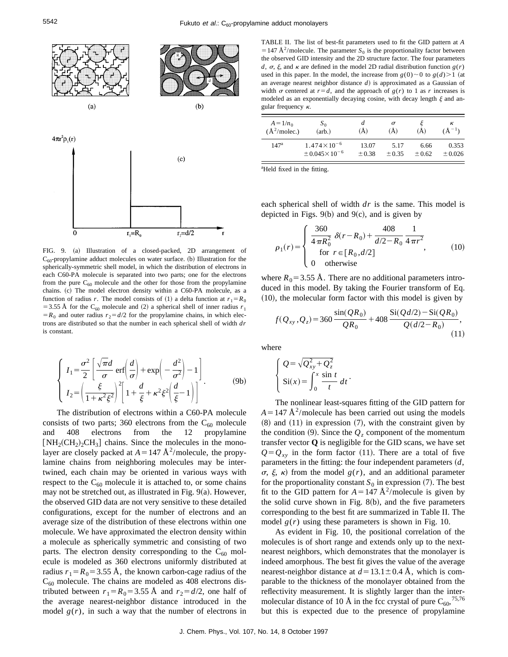

FIG. 9. (a) Illustration of a closed-packed, 2D arrangement of  $C_{60}$ -propylamine adduct molecules on water surface. (b) Illustration for the spherically-symmetric shell model, in which the distribution of electrons in each C60-PA molecule is separated into two parts; one for the electrons from the pure  $C_{60}$  molecule and the other for those from the propylamine chains. (c) The model electron density within a C60-PA molecule, as a function of radius *r*. The model consists of (1) a delta function at  $r_1 = R_0$ = 3.55 Å for the C<sub>60</sub> molecule and (2) a spherical shell of inner radius  $r_1$  $=R_0$  and outer radius  $r_2 = d/2$  for the propylamine chains, in which electrons are distributed so that the number in each spherical shell of width *dr* is constant.

$$
\begin{cases}\nI_1 = \frac{\sigma^2}{2} \left[ \frac{\sqrt{\pi}d}{\sigma} \operatorname{erf} \left( \frac{d}{\sigma} \right) + \exp \left( -\frac{d^2}{\sigma^2} \right) - 1 \right] \\
I_2 = \left( \frac{\xi}{1 + \kappa^2 \xi^2} \right)^2 \left[ 1 + \frac{d}{\xi} + \kappa^2 \xi^2 \left( \frac{d}{\xi} - 1 \right) \right]\n\end{cases} \tag{9b}
$$

The distribution of electrons within a C60-PA molecule consists of two parts; 360 electrons from the  $C_{60}$  molecule and 408 electrons from the 12 propylamine  $[NH_2(CH_2)_2CH_3]$  chains. Since the molecules in the monolayer are closely packed at  $A = 147 \text{ Å}^2/\text{molecule}$ , the propylamine chains from neighboring molecules may be intertwined, each chain may be oriented in various ways with respect to the  $C_{60}$  molecule it is attached to, or some chains may not be stretched out, as illustrated in Fig.  $9(a)$ . However, the observed GID data are not very sensitive to these detailed configurations, except for the number of electrons and an average size of the distribution of these electrons within one molecule. We have approximated the electron density within a molecule as spherically symmetric and consisting of two parts. The electron density corresponding to the  $C_{60}$  molecule is modeled as 360 electrons uniformly distributed at radius  $r_1 = R_0 = 3.55$  Å, the known carbon-cage radius of the  $C_{60}$  molecule. The chains are modeled as 408 electrons distributed between  $r_1 = R_0 = 3.55$  Å and  $r_2 = d/2$ , one half of the average nearest-neighbor distance introduced in the model  $g(r)$ , in such a way that the number of electrons in

| $A = 1/n_0$       | $S_0$                      | a          | σ      | (Å)     | к            |
|-------------------|----------------------------|------------|--------|---------|--------------|
| $(\AA^2$ /molec.) | (arb.)                     | (Å)        | (Å)    |         | $(\AA^{-1})$ |
| 147 <sup>a</sup>  | $1.474 \times 10^{-6}$     | 13.07      | 5.17   | 6.66    | 0.353        |
|                   | $\pm 0.045 \times 10^{-6}$ | $\pm 0.38$ | ± 0.35 | $+0.62$ | ± 0.026      |

<sup>a</sup>Held fixed in the fitting.

each spherical shell of width *dr* is the same. This model is depicted in Figs. 9 $(b)$  and 9 $(c)$ , and is given by

$$
\rho_1(r) = \begin{cases}\n\frac{360}{4\pi R_0^2} \delta(r - R_0) + \frac{408}{d/2 - R_0} \frac{1}{4\pi r^2} \\
\text{for } r \in [R_0, d/2] \\
0 \quad \text{otherwise}\n\end{cases}
$$
\n(10)

where  $R_0$  = 3.55 Å. There are no additional parameters introduced in this model. By taking the Fourier transform of Eq.  $(10)$ , the molecular form factor with this model is given by

$$
f(Q_{xy}, Q_z) = 360 \frac{\sin(QR_0)}{QR_0} + 408 \frac{\text{Si}(Qd/2) - \text{Si}(QR_0)}{Q(d/2 - R_0)},
$$
\n(11)

where

$$
\begin{cases} Q = \sqrt{Q_{xy}^2 + Q_z^2} \\ \text{Si}(x) = \int_0^x \frac{\sin t}{t} dt \end{cases}
$$

The nonlinear least-squares fitting of the GID pattern for  $A = 147 \text{ Å}^2/\text{molecule}$  has been carried out using the models  $(8)$  and  $(11)$  in expression  $(7)$ , with the constraint given by the condition  $(9)$ . Since the  $Q<sub>z</sub>$  component of the momentum transfer vector **Q** is negligible for the GID scans, we have set  $Q = Q_{xy}$  in the form factor (11). There are a total of five parameters in the fitting: the four independent parameters  $(d, d)$  $\sigma$ ,  $\xi$ ,  $\kappa$ ) from the model  $g(r)$ , and an additional parameter for the proportionality constant  $S_0$  in expression (7). The best fit to the GID pattern for  $A = 147 \text{ Å}^2/\text{molecule}$  is given by the solid curve shown in Fig.  $8(b)$ , and the five parameters corresponding to the best fit are summarized in Table II. The model  $g(r)$  using these parameters is shown in Fig. 10.

As evident in Fig. 10, the positional correlation of the molecules is of short range and extends only up to the nextnearest neighbors, which demonstrates that the monolayer is indeed amorphous. The best fit gives the value of the average nearest-neighbor distance at  $d=13.1\pm0.4$  Å, which is comparable to the thickness of the monolayer obtained from the reflectivity measurement. It is slightly larger than the intermolecular distance of 10 Å in the fcc crystal of pure  $C_{60}$ , <sup>75,76</sup> but this is expected due to the presence of propylamine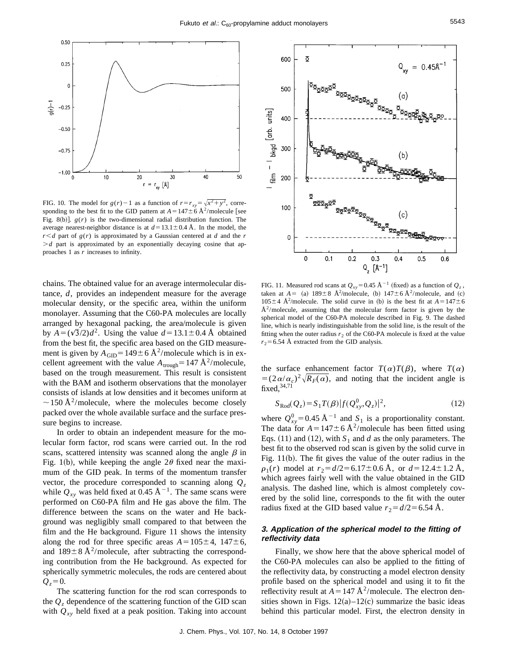

FIG. 10. The model for  $g(r)-1$  as a function of  $r=r_{xy}=\sqrt{x^2+y^2}$ , corresponding to the best fit to the GID pattern at  $A=147\pm6$  Å<sup>2</sup>/molecule [see Fig. 8(b)].  $g(r)$  is the two-dimensional radial distribution function. The average nearest-neighbor distance is at  $d=13.1\pm0.4$  Å. In the model, the  $r < d$  part of  $g(r)$  is approximated by a Gaussian centered at *d* and the *r*  $\geq d$  part is approximated by an exponentially decaying cosine that approaches 1 as *r* increases to infinity.

chains. The obtained value for an average intermolecular distance, *d*, provides an independent measure for the average molecular density, or the specific area, within the uniform monolayer. Assuming that the C60-PA molecules are locally arranged by hexagonal packing, the area/molecule is given by  $A=(\sqrt{3}/2)d^2$ . Using the value  $d=13.1\pm0.4$  Å obtained from the best fit, the specific area based on the GID measurement is given by  $A_{\text{GID}} = 149 \pm 6 \text{ Å}^2/\text{molecule}$  which is in excellent agreement with the value  $A_{\text{trough}}=147 \text{ Å}^2/\text{molecule}$ , based on the trough measurement. This result is consistent with the BAM and isotherm observations that the monolayer consists of islands at low densities and it becomes uniform at  $\sim$  150 Å<sup>2</sup>/molecule, where the molecules become closely packed over the whole available surface and the surface pressure begins to increase.

In order to obtain an independent measure for the molecular form factor, rod scans were carried out. In the rod scans, scattered intensity was scanned along the angle  $\beta$  in Fig. 1(b), while keeping the angle  $2\theta$  fixed near the maximum of the GID peak. In terms of the momentum transfer vector, the procedure corresponded to scanning along  $Q<sub>z</sub>$ while  $Q_{xy}$  was held fixed at 0.45 Å<sup>-1</sup>. The same scans were performed on C60-PA film and He gas above the film. The difference between the scans on the water and He background was negligibly small compared to that between the film and the He background. Figure 11 shows the intensity along the rod for three specific areas  $A=105\pm4$ ,  $147\pm6$ , and  $189 \pm 8$  Å<sup>2</sup>/molecule, after subtracting the corresponding contribution from the He background. As expected for spherically symmetric molecules, the rods are centered about  $Q_{7} = 0.$ 

The scattering function for the rod scan corresponds to the  $Q<sub>z</sub>$  dependence of the scattering function of the GID scan with  $Q_{xy}$  held fixed at a peak position. Taking into account



FIG. 11. Measured rod scans at  $Q_{xy}$ =0.45 Å<sup>-1</sup> (fixed) as a function of  $Q_z$ , taken at  $A = (a)$  189 $\pm 8$  Å<sup>2</sup>/molecule, (b) 147 $\pm 6$  Å<sup>2</sup>/molecule, and (c)  $105\pm4$  Å<sup>2</sup>/molecule. The solid curve in (b) is the best fit at  $A=147\pm6$  $A<sup>2</sup>/molecule$ , assuming that the molecular form factor is given by the spherical model of the C60-PA molecule described in Fig. 9. The dashed line, which is nearly indistinguishable from the solid line, is the result of the fitting when the outer radius  $r_2$  of the C60-PA molecule is fixed at the value  $r_2$ =6.54 Å extracted from the GID analysis.

the surface enhancement factor  $T(\alpha)T(\beta)$ , where  $T(\alpha)$  $= (2\alpha/\alpha_c)^2 \sqrt{R_F(\alpha)}$ , and noting that the incident angle is fixed,  $34,71$ 

$$
S_{\text{Rod}}(Q_z) = S_1 T(\beta) |f(Q_{xy}^0, Q_z)|^2, \qquad (12)
$$

where  $Q_{xy}^0$ =0.45 Å<sup>-1</sup> and  $S_1$  is a proportionality constant. The data for  $A = 147 \pm 6 \text{ Å}^2/\text{molecule}$  has been fitted using Eqs.  $(11)$  and  $(12)$ , with  $S_1$  and *d* as the only parameters. The best fit to the observed rod scan is given by the solid curve in Fig.  $11(b)$ . The fit gives the value of the outer radius in the  $\rho_1(r)$  model at  $r_2 = d/2 = 6.17 \pm 0.6$  Å, or  $d = 12.4 \pm 1.2$  Å, which agrees fairly well with the value obtained in the GID analysis. The dashed line, which is almost completely covered by the solid line, corresponds to the fit with the outer radius fixed at the GID based value  $r_2 = d/2 = 6.54$  Å.

# **3. Application of the spherical model to the fitting of reflectivity data**

Finally, we show here that the above spherical model of the C60-PA molecules can also be applied to the fitting of the reflectivity data, by constructing a model electron density profile based on the spherical model and using it to fit the reflectivity result at  $A = 147 \text{ Å}^2/\text{molecule}$ . The electron densities shown in Figs.  $12(a) - 12(c)$  summarize the basic ideas behind this particular model. First, the electron density in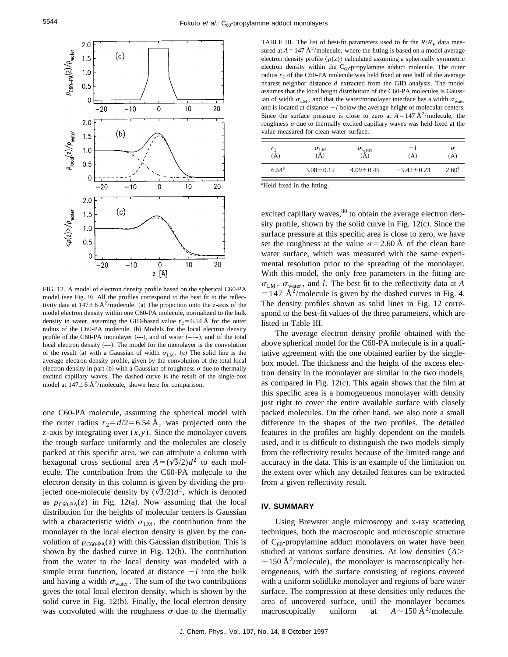

FIG. 12. A model of electron density profile based on the spherical C60-PA model (see Fig. 9). All the profiles correspond to the best fit to the reflectivity data at  $147 \pm 6$  Å<sup>2</sup>/molecule. (a) The projection onto the *z*-axis of the model electron density within one C60-PA molecule, normalized to the bulk density in water, assuming the GID-based value  $r_2$ =6.54 Å for the outer radius of the C60-PA molecule. (b) Models for the local electron density profile of the C60-PA monolayer  $(--)$ , and of water  $(--)$ , and of the total local electron density  $(-)$ . The model for the monolayer is the convolution of the result (a) with a Gaussian of width  $\sigma_{LM}$ . (c) The solid line is the average electron density profile, given by the convolution of the total local electron density in part (b) with a Gaussian of roughness  $\sigma$  due to thermally excited capillary waves. The dashed curve is the result of the single-box model at  $147 \pm 6 \text{ Å}^2$ /molecule, shown here for comparison.

one C60-PA molecule, assuming the spherical model with the outer radius  $r_2 = d/2 = 6.54$  Å, was projected onto the *z*-axis by integrating over (*x*,*y*). Since the monolayer covers the trough surface uniformly and the molecules are closely packed at this specific area, we can attribute a column with hexagonal cross sectional area  $A=(\sqrt{3}/2)d^2$  to each molecule. The contribution from the C60-PA molecule to the electron density in this column is given by dividing the projected one-molecule density by  $(\sqrt{3}/2)d^2$ , which is denoted as  $\rho_{\text{C60-PA}}(z)$  in Fig. 12(a). Now assuming that the local distribution for the heights of molecular centers is Gaussian with a characteristic width  $\sigma_{LM}$ , the contribution from the monolayer to the local electron density is given by the convolution of  $\rho_{\text{C60-PA}}(z)$  with this Gaussian distribution. This is shown by the dashed curve in Fig.  $12(b)$ . The contribution from the water to the local density was modeled with a simple error function, located at distance  $-l$  into the bulk and having a width  $\sigma_{\text{water}}$ . The sum of the two contributions gives the total local electron density, which is shown by the solid curve in Fig.  $12(b)$ . Finally, the local electron density was convoluted with the roughness  $\sigma$  due to the thermally

TABLE III. The list of best-fit parameters used to fit the  $R/R<sub>F</sub>$  data measured at  $A = 147 \text{ Å}^2/\text{molecule}$ , where the fitting is based on a model average electron density profile  $\langle \rho(z) \rangle$  calculated assuming a spherically symmetric electron density within the  $C_{60}$ -propylamine adduct molecule. The outer radius  $r_2$  of the C60-PA molecule was held fixed at one half of the average nearest neighbor distance *d* extracted from the GID analysis. The model assumes that the local height distribution of the C60-PA molecules is Gaussian of width  $\sigma_{LM}$ , and that the water/monolayer interface has a width  $\sigma_{water}$ and is located at distance  $-l$  below the average height of molecular centers. Since the surface pressure is close to zero at  $A=147 \text{ Å}^2/\text{molecule}$ , the roughness  $\sigma$  due to thermally excited capillary waves was held fixed at the value measured for clean water surface.

| $r_2$                | $\sigma_{\rm LM}$ | $\sigma_{\text{water}}$ | $-1$             | σ              |
|----------------------|-------------------|-------------------------|------------------|----------------|
| $(\bar{\text{\AA}})$ | A)                | (A)                     | (Å)              | (A)            |
| $6.54^{\rm a}$       | $3.08 \pm 0.12$   | $4.09 \pm 0.45$         | $-5.42 \pm 0.23$ | $2.60^{\rm a}$ |

a Held fixed in the fitting.

excited capillary waves,<sup>80</sup> to obtain the average electron density profile, shown by the solid curve in Fig.  $12(c)$ . Since the surface pressure at this specific area is close to zero, we have set the roughness at the value  $\sigma$ =2.60 Å of the clean bare water surface, which was measured with the same experimental resolution prior to the spreading of the monolayer. With this model, the only free parameters in the fitting are  $\sigma_{LM}$ ,  $\sigma_{water}$ , and *l*. The best fit to the reflectivity data at *A*  $=$  147 Å<sup>2</sup>/molecule is given by the dashed curves in Fig. 4. The density profiles shown as solid lines in Fig. 12 correspond to the best-fit values of the three parameters, which are listed in Table III.

The average electron density profile obtained with the above spherical model for the C60-PA molecule is in a qualitative agreement with the one obtained earlier by the singlebox model. The thickness and the height of the excess electron density in the monolayer are similar in the two models, as compared in Fig.  $12(c)$ . This again shows that the film at this specific area is a homogeneous monolayer with density just right to cover the entire available surface with closely packed molecules. On the other hand, we also note a small difference in the shapes of the two profiles. The detailed features in the profiles are highly dependent on the models used, and it is difficult to distinguish the two models simply from the reflectivity results because of the limited range and accuracy in the data. This is an example of the limitation on the extent over which any detailed features can be extracted from a given reflectivity result.

# **IV. SUMMARY**

Using Brewster angle microscopy and x-ray scattering techniques, both the macroscopic and microscopic structure of  $C_{60}$ -propylamine adduct monolayers on water have been studied at various surface densities. At low densities (*A*.  $\sim$  150 Å<sup>2</sup>/molecule), the monolayer is macroscopically heterogeneous, with the surface consisting of regions covered with a uniform solidlike monolayer and regions of bare water surface. The compression at these densities only reduces the area of uncovered surface, until the monolayer becomes macroscopically uniform at  $A \sim 150 \text{ Å}^2/\text{molecule.}$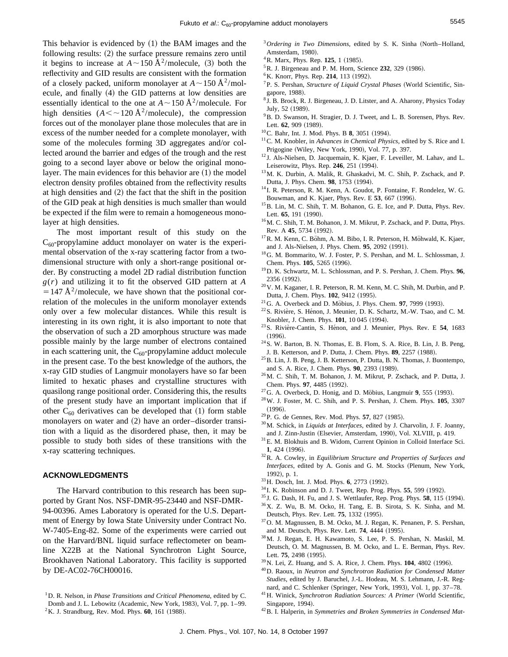This behavior is evidenced by  $(1)$  the BAM images and the following results:  $(2)$  the surface pressure remains zero until it begins to increase at  $A \sim 150 \text{ Å}^2/\text{molecule}$ , (3) both the reflectivity and GID results are consistent with the formation of a closely packed, uniform monolayer at  $A \sim 150 \text{ Å}^2/\text{mol}$ ecule, and finally (4) the GID patterns at low densities are essentially identical to the one at  $A \sim 150 \text{ Å}^2/\text{molecule}$ . For high densities  $(A \leq \sim 120 \text{ Å}^2/\text{molecule})$ , the compression forces out of the monolayer plane those molecules that are in excess of the number needed for a complete monolayer, with some of the molecules forming 3D aggregates and/or collected around the barrier and edges of the trough and the rest going to a second layer above or below the original monolayer. The main evidences for this behavior are  $(1)$  the model electron density profiles obtained from the reflectivity results at high densities and  $(2)$  the fact that the shift in the position of the GID peak at high densities is much smaller than would be expected if the film were to remain a homogeneous monolayer at high densities.

The most important result of this study on the  $C_{60}$ -propylamine adduct monolayer on water is the experimental observation of the x-ray scattering factor from a twodimensional structure with only a short-range positional order. By constructing a model 2D radial distribution function *g*(*r*) and utilizing it to fit the observed GID pattern at *A*  $=147 \text{ Å}^2/\text{molecule}$ , we have shown that the positional correlation of the molecules in the uniform monolayer extends only over a few molecular distances. While this result is interesting in its own right, it is also important to note that the observation of such a 2D amorphous structure was made possible mainly by the large number of electrons contained in each scattering unit, the  $C_{60}$ -propylamine adduct molecule in the present case. To the best knowledge of the authors, the x-ray GID studies of Langmuir monolayers have so far been limited to hexatic phases and crystalline structures with quasilong range positional order. Considering this, the results of the present study have an important implication that if other  $C_{60}$  derivatives can be developed that (1) form stable monolayers on water and  $(2)$  have an order–disorder transition with a liquid as the disordered phase, then, it may be possible to study both sides of these transitions with the x-ray scattering techniques.

#### **ACKNOWLEDGMENTS**

The Harvard contribution to this research has been supported by Grant Nos. NSF-DMR-95-23440 and NSF-DMR-94-00396. Ames Laboratory is operated for the U.S. Department of Energy by Iowa State University under Contract No. W-7405-Eng-82. Some of the experiments were carried out on the Harvard/BNL liquid surface reflectometer on beamline X22B at the National Synchrotron Light Source, Brookhaven National Laboratory. This facility is supported by DE-AC02-76CH00016.

 $2$ K. J. Strandburg, Rev. Mod. Phys. 60, 161 (1988).

- <sup>3</sup> Ordering in Two Dimensions, edited by S. K. Sinha (North–Holland, Amsterdam, 1980).
- <sup>4</sup>R. Marx, Phys. Rep. **125**, 1 (1985).
- <sup>5</sup> R. J. Birgeneau and P. M. Horn, Science 232, 329 (1986).
- <sup>6</sup>K. Knorr, Phys. Rep. 214, 113 (1992).
- <sup>7</sup> P. S. Pershan, *Structure of Liquid Crystal Phases* (World Scientific, Singapore, 1988).
- <sup>8</sup> J. B. Brock, R. J. Birgeneau, J. D. Litster, and A. Aharony, Physics Today July, 52 (1989).
- <sup>9</sup>B. D. Swanson, H. Stragier, D. J. Tweet, and L. B. Sorensen, Phys. Rev. Lett. **62**, 909 (1989).
- <sup>10</sup>C. Bahr, Int. J. Mod. Phys. B **8**, 3051 (1994).
- 11C. M. Knobler, in *Advances in Chemical Physics*, edited by S. Rice and I. Prigogine (Wiley, New York, 1990), Vol. 77, p. 397.
- <sup>12</sup> J. Als-Nielsen, D. Jacquemain, K. Kjaer, F. Leveiller, M. Lahav, and L. Leiserowitz, Phys. Rep. 246, 251 (1994).
- 13M. K. Durbin, A. Malik, R. Ghaskadvi, M. C. Shih, P. Zschack, and P. Dutta, J. Phys. Chem. 98, 1753 (1994).
- <sup>14</sup> I. R. Peterson, R. M. Kenn, A. Goudot, P. Fontaine, F. Rondelez, W. G. Bouwman, and K. Kjaer, Phys. Rev. E **53**, 667 (1996).
- <sup>15</sup>B. Lin, M. C. Shih, T. M. Bohanon, G. E. Ice, and P. Dutta, Phys. Rev. Lett. 65, 191 (1990).
- <sup>16</sup> M. C. Shih, T. M. Bohanon, J. M. Mikrut, P. Zschack, and P. Dutta, Phys. Rev. A 45, 5734 (1992).
- $17R$ . M. Kenn, C. Bohm, A. M. Bibo, I. R. Peterson, H. Möhwald, K. Kjaer, and J. Als-Nielsen, J. Phys. Chem. 95, 2092 (1991).
- 18G. M. Bommarito, W. J. Foster, P. S. Pershan, and M. L. Schlossman, J. Chem. Phys. **105**, 5265 (1996).
- 19D. K. Schwartz, M. L. Schlossman, and P. S. Pershan, J. Chem. Phys. **96**, 2356 (1992).
- 20V. M. Kaganer, I. R. Peterson, R. M. Kenn, M. C. Shih, M. Durbin, and P. Dutta, J. Chem. Phys. 102, 9412 (1995).
- <sup>21</sup> G. A. Overbeck and D. Möbius, J. Phys. Chem. **97**, 7999 (1993).
- <sup>22</sup> S. Rivière, S. Hénon, J. Meunier, D. K. Schartz, M.-W. Tsao, and C. M. Knobler, J. Chem. Phys. 101, 10 045 (1994).
- <sup>23</sup>S. Rivière-Cantin, S. Hénon, and J. Meunier, Phys. Rev. E 54, 1683  $(1996).$
- $24$ S. W. Barton, B. N. Thomas, E. B. Flom, S. A. Rice, B. Lin, J. B. Peng, J. B. Ketterson, and P. Dutta, J. Chem. Phys. 89, 2257 (1988).
- $^{25}$ B. Lin, J. B. Peng, J. B. Ketterson, P. Dutta, B. N. Thomas, J. Buontempo, and S. A. Rice, J. Chem. Phys. 90, 2393 (1989).
- 26M. C. Shih, T. M. Bohanon, J. M. Mikrut, P. Zschack, and P. Dutta, J. Chem. Phys. 97, 4485 (1992).
- $27$ G. A. Overbeck, D. Honig, and D. Möbius, Langmuir 9, 555 (1993).
- 28W. J. Foster, M. C. Shih, and P. S. Pershan, J. Chem. Phys. **105**, 3307  $(1996).$
- <sup>29</sup> P. G. de Gennes, Rev. Mod. Phys. **57**, 827 (1985).
- 30M. Schick, in *Liquids at Interfaces*, edited by J. Charvolin, J. F. Joanny, and J. Zinn-Justin (Elsevier, Amsterdam, 1990), Vol. XLVIII, p. 419.
- 31E. M. Blokhuis and B. Widom, Current Opinion in Colloid Interface Sci. **1**, 424 (1996).
- 32R. A. Cowley, in *Equilibrium Structure and Properties of Surfaces and Interfaces*, edited by A. Gonis and G. M. Stocks (Plenum, New York, 1992), p. 1.
- <sup>33</sup> H. Dosch, Int. J. Mod. Phys. **6**, 2773 (1992).
- <sup>34</sup> I. K. Robinson and D. J. Tweet, Rep. Prog. Phys. **55**, 599 (1992).
- <sup>35</sup> J. G. Dash, H. Fu, and J. S. Wettlaufer, Rep. Prog. Phys. **58**, 115 (1994).
- 36X. Z. Wu, B. M. Ocko, H. Tang, E. B. Sirota, S. K. Sinha, and M. Deutsch, Phys. Rev. Lett. **75**, 1332 (1995).
- 37O. M. Magnussen, B. M. Ocko, M. J. Regan, K. Penanen, P. S. Pershan, and M. Deutsch, Phys. Rev. Lett. **74**, 4444 (1995).
- 38M. J. Regan, E. H. Kawamoto, S. Lee, P. S. Pershan, N. Maskil, M. Deutsch, O. M. Magnussen, B. M. Ocko, and L. E. Berman, Phys. Rev. Lett. 75, 2498 (1995).
- <sup>39</sup> N. Lei, Z. Huang, and S. A. Rice, J. Chem. Phys. **104**, 4802 (1996).
- 40D. Raoux, in *Neutron and Synchrotron Radiation for Condensed Matter Studies*, edited by J. Baruchel, J.-L. Hodeau, M. S. Lehmann, J.-R. Regnard, and C. Schlenker (Springer, New York, 1993), Vol. 1, pp. 37-78.
- <sup>41</sup> H. Winick, *Synchrotron Radiation Sources: A Primer* (World Scientific, Singapore, 1994).
- 42B. I. Halperin, in *Symmetries and Broken Symmetries in Condensed Mat-*

<sup>1</sup>D. R. Nelson, in *Phase Transitions and Critical Phenomena*, edited by C. Domb and J. L. Lebowitz (Academic, New York, 1983), Vol. 7, pp. 1–99.